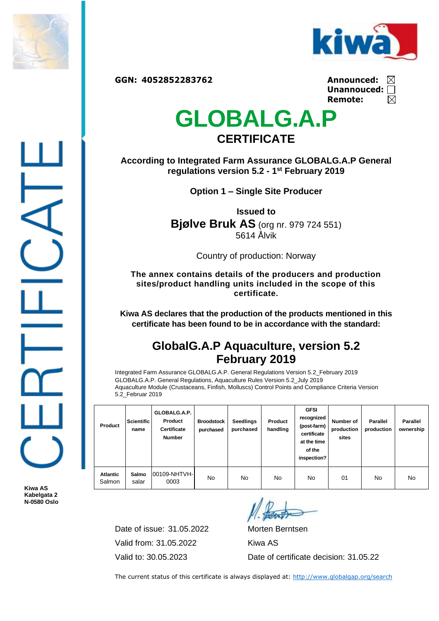



**GGN: 4052852283762 Announced:**

| Announced:         | ⊠ |
|--------------------|---|
| Unannouced: $\Box$ |   |
| Remote:            | ⊠ |

## **GLOBALG.A.P CERTIFICATE**

**According to Integrated Farm Assurance GLOBALG.A.P General regulations version 5.2 - 1 st February 2019**

**Option 1 – Single Site Producer**

**Issued to Bjølve Bruk AS** (org nr. 979 724 551) 5614 Ålvik

Country of production: Norway

**The annex contains details of the producers and production sites/product handling units included in the scope of this certificate.**

**Kiwa AS declares that the production of the products mentioned in this certificate has been found to be in accordance with the standard:**

## **GlobalG.A.P Aquaculture, version 5.2 February 2019**

Integrated Farm Assurance GLOBALG.A.P. General Regulations Version 5.2\_February 2019 GLOBALG.A.P. General Regulations, Aquaculture Rules Version 5.2\_July 2019 Aquaculture Module (Crustaceans, Finfish, Molluscs) Control Points and Compliance Criteria Version 5.2\_Februar 2019

| Product                   | <b>Scientific</b><br>name | GLOBALG.A.P.<br>Product<br><b>Certificate</b><br><b>Number</b> | <b>Broodstock</b><br>purchased | <b>Seedlings</b><br>purchased | Product<br>handling | <b>GFSI</b><br>recognized<br>(post-farm)<br>certificate<br>at the time<br>of the<br>inspection? | Number of<br>production<br>sites | <b>Parallel</b><br>production | <b>Parallel</b><br>ownership |
|---------------------------|---------------------------|----------------------------------------------------------------|--------------------------------|-------------------------------|---------------------|-------------------------------------------------------------------------------------------------|----------------------------------|-------------------------------|------------------------------|
| <b>Atlantic</b><br>Salmon | Salmo<br>salar            | 00109-NHTVH-<br>0003                                           | No                             | No                            | No.                 | No                                                                                              | 01                               | No                            | No                           |

**Kiwa AS Kabelgata 2 N-0580 Oslo**

> Date of issue: 31.05.2022 Morten Berntsen Valid from: 31.05.2022 Kiwa AS

Valid to: 30.05.2023 Date of certificate decision: 31.05.22

The current status of this certificate is always displayed at:<http://www.globalgap.org/search>